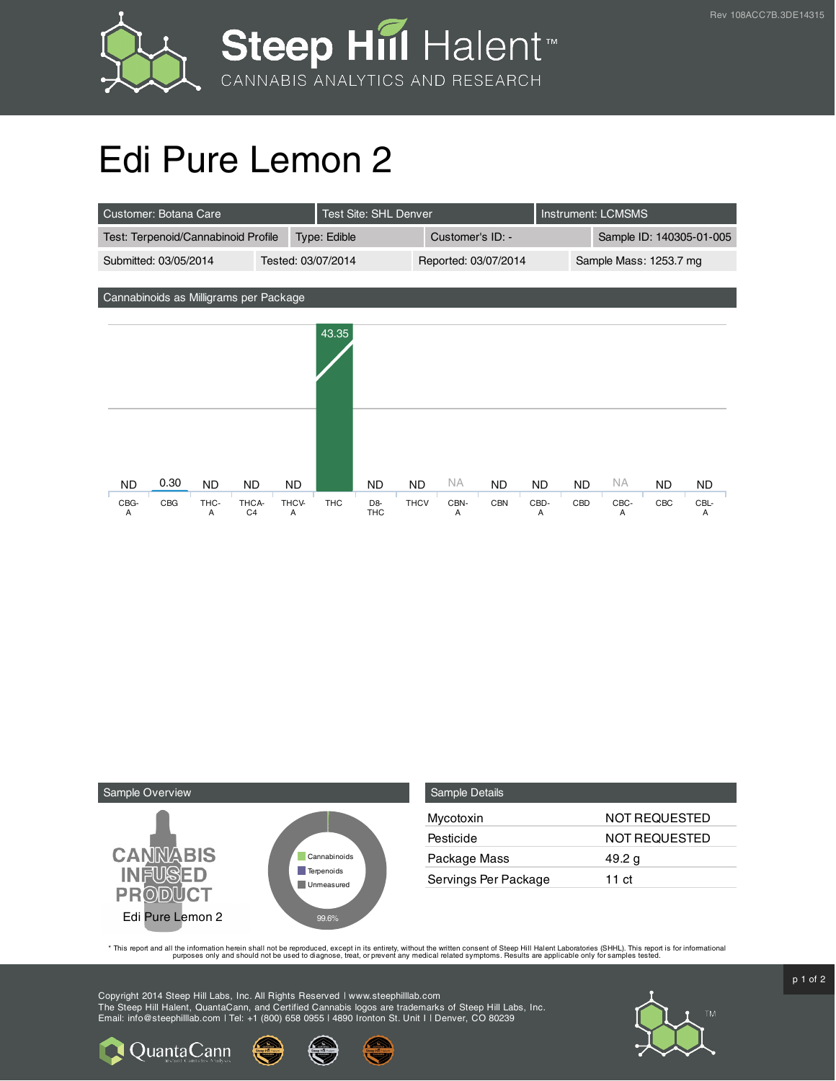



## Edi Pure Lemon 2

| Customer: Botana Care                       |                                       | Test Site: SHL Denver               |                          |                  | Instrument: LCMSMS |                          |                        |           |
|---------------------------------------------|---------------------------------------|-------------------------------------|--------------------------|------------------|--------------------|--------------------------|------------------------|-----------|
| Test: Terpenoid/Cannabinoid Profile         |                                       | Type: Edible                        |                          | Customer's ID: - |                    | Sample ID: 140305-01-005 |                        |           |
| Tested: 03/07/2014<br>Submitted: 03/05/2014 |                                       | Reported: 03/07/2014                |                          |                  |                    |                          | Sample Mass: 1253.7 mg |           |
|                                             |                                       |                                     |                          |                  |                    |                          |                        |           |
| Cannabinoids as Milligrams per Package      |                                       |                                     |                          |                  |                    |                          |                        |           |
|                                             |                                       |                                     |                          |                  |                    |                          |                        |           |
|                                             |                                       | 43.35                               |                          |                  |                    |                          |                        |           |
|                                             |                                       |                                     |                          |                  |                    |                          |                        |           |
|                                             |                                       |                                     |                          |                  |                    |                          |                        |           |
|                                             |                                       |                                     |                          |                  |                    |                          |                        |           |
|                                             |                                       |                                     |                          |                  |                    |                          |                        |           |
|                                             |                                       |                                     |                          |                  |                    |                          |                        |           |
|                                             |                                       |                                     |                          |                  |                    |                          |                        |           |
| 0.30<br><b>ND</b><br><b>ND</b>              | <b>ND</b><br><b>ND</b>                | <b>ND</b>                           | NA.<br><b>ND</b>         | <b>ND</b>        | <b>ND</b>          | <b>NA</b><br><b>ND</b>   | <b>ND</b>              | <b>ND</b> |
| CBG-<br>CBG<br>THC-<br>Α<br>Α               | THCA-<br>THCV-<br>C <sub>4</sub><br>Α | THC<br>D <sub>8</sub><br><b>THC</b> | <b>THCV</b><br>CBN-<br>Α | <b>CBN</b>       | CBD-<br>Α          | CBD<br>CBC-<br>Α         | CBC                    | CBL-<br>Α |



Quanta Cann

| <b>Sample Details</b> |                      |
|-----------------------|----------------------|
| Mycotoxin             | NOT REQUESTED        |
| Pesticide             | <b>NOT REQUESTED</b> |
| Package Mass          | 49.2 g               |
| Servings Per Package  | 11 ct                |

This report and all the information herein shall not be reporduced, except in its entirety, without the written consent of Steep Hill Halent Laboratories (SHHL). This report is for informational all the instance, treat, or

Copyright 2014 Steep Hill Labs, Inc. All Rights Reserved | www.steephilllab.com The Steep Hill Halent, QuantaCann, and Certified Cannabis logos are trademarks of Steep Hill Labs, Inc. Email: info@steephilllab.com | Tel: +1 (800) 658 0955 | 4890 Ironton St. Unit I | Denver, CO 80239